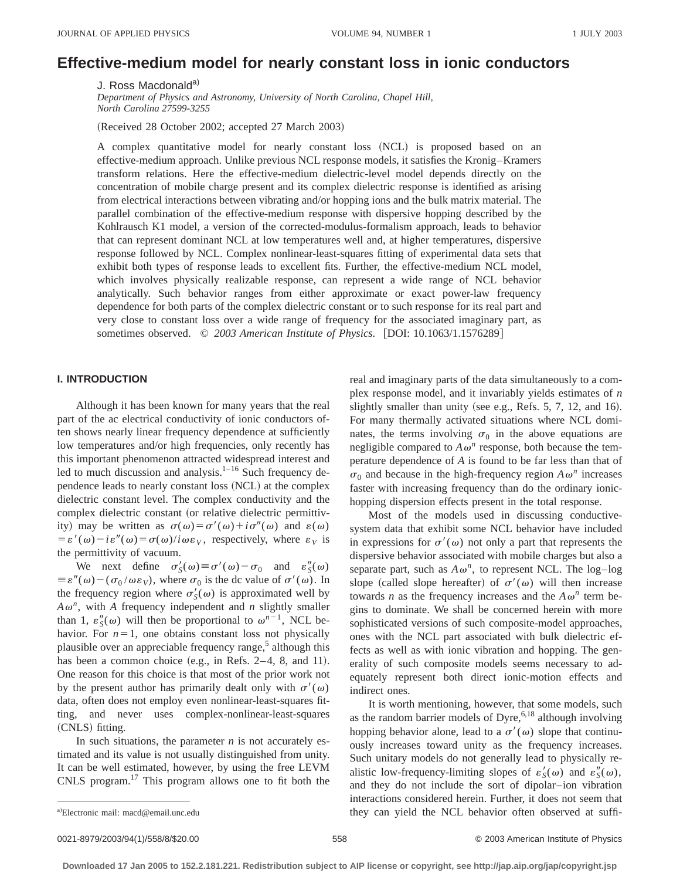# **Effective-medium model for nearly constant loss in ionic conductors**

J. Ross Macdonald<sup>a)</sup>

*Department of Physics and Astronomy, University of North Carolina, Chapel Hill, North Carolina 27599-3255*

(Received 28 October 2002; accepted 27 March 2003)

A complex quantitative model for nearly constant loss (NCL) is proposed based on an effective-medium approach. Unlike previous NCL response models, it satisfies the Kronig–Kramers transform relations. Here the effective-medium dielectric-level model depends directly on the concentration of mobile charge present and its complex dielectric response is identified as arising from electrical interactions between vibrating and/or hopping ions and the bulk matrix material. The parallel combination of the effective-medium response with dispersive hopping described by the Kohlrausch K1 model, a version of the corrected-modulus-formalism approach, leads to behavior that can represent dominant NCL at low temperatures well and, at higher temperatures, dispersive response followed by NCL. Complex nonlinear-least-squares fitting of experimental data sets that exhibit both types of response leads to excellent fits. Further, the effective-medium NCL model, which involves physically realizable response, can represent a wide range of NCL behavior analytically. Such behavior ranges from either approximate or exact power-law frequency dependence for both parts of the complex dielectric constant or to such response for its real part and very close to constant loss over a wide range of frequency for the associated imaginary part, as sometimes observed.  $\odot$  2003 American Institute of Physics. [DOI: 10.1063/1.1576289]

## **I. INTRODUCTION**

Although it has been known for many years that the real part of the ac electrical conductivity of ionic conductors often shows nearly linear frequency dependence at sufficiently low temperatures and/or high frequencies, only recently has this important phenomenon attracted widespread interest and led to much discussion and analysis. $1-16$  Such frequency dependence leads to nearly constant loss (NCL) at the complex dielectric constant level. The complex conductivity and the complex dielectric constant (or relative dielectric permittivity) may be written as  $\sigma(\omega) = \sigma'(\omega) + i\sigma''(\omega)$  and  $\varepsilon(\omega)$  $= \varepsilon'(\omega) - i\varepsilon''(\omega) = \sigma(\omega)/i\omega\varepsilon_v$ , respectively, where  $\varepsilon_v$  is the permittivity of vacuum.

We next define  $\sigma'_{S}(\omega) \equiv \sigma'(\omega) - \sigma_0$  and  $\varepsilon''_{S}(\omega)$  $\equiv \varepsilon''(\omega) - (\sigma_0/\omega \varepsilon_V)$ , where  $\sigma_0$  is the dc value of  $\sigma'(\omega)$ . In the frequency region where  $\sigma'_{S}(\omega)$  is approximated well by  $A\omega^n$ , with *A* frequency independent and *n* slightly smaller than 1,  $\varepsilon''_S(\omega)$  will then be proportional to  $\omega^{n-1}$ , NCL behavior. For  $n=1$ , one obtains constant loss not physically plausible over an appreciable frequency range, $5$  although this has been a common choice  $(e.g., in Refs. 2-4, 8, and 11).$ One reason for this choice is that most of the prior work not by the present author has primarily dealt only with  $\sigma'(\omega)$ data, often does not employ even nonlinear-least-squares fitting, and never uses complex-nonlinear-least-squares (CNLS) fitting.

In such situations, the parameter *n* is not accurately estimated and its value is not usually distinguished from unity. It can be well estimated, however, by using the free LEVM CNLS program.17 This program allows one to fit both the real and imaginary parts of the data simultaneously to a complex response model, and it invariably yields estimates of *n* slightly smaller than unity (see e.g., Refs.  $5, 7, 12,$  and 16). For many thermally activated situations where NCL dominates, the terms involving  $\sigma_0$  in the above equations are negligible compared to  $A\omega^n$  response, both because the temperature dependence of *A* is found to be far less than that of  $\sigma_0$  and because in the high-frequency region  $A\omega^n$  increases faster with increasing frequency than do the ordinary ionichopping dispersion effects present in the total response.

Most of the models used in discussing conductivesystem data that exhibit some NCL behavior have included in expressions for  $\sigma'(\omega)$  not only a part that represents the dispersive behavior associated with mobile charges but also a separate part, such as  $A\omega^n$ , to represent NCL. The log–log slope (called slope hereafter) of  $\sigma'(\omega)$  will then increase towards *n* as the frequency increases and the  $A\omega^n$  term begins to dominate. We shall be concerned herein with more sophisticated versions of such composite-model approaches, ones with the NCL part associated with bulk dielectric effects as well as with ionic vibration and hopping. The generality of such composite models seems necessary to adequately represent both direct ionic-motion effects and indirect ones.

It is worth mentioning, however, that some models, such as the random barrier models of Dyre,  $6.18$  although involving hopping behavior alone, lead to a  $\sigma'(\omega)$  slope that continuously increases toward unity as the frequency increases. Such unitary models do not generally lead to physically realistic low-frequency-limiting slopes of  $\varepsilon'_{S}(\omega)$  and  $\varepsilon''_{S}(\omega)$ , and they do not include the sort of dipolar–ion vibration interactions considered herein. Further, it does not seem that they can yield the NCL behavior often observed at suffi-

0021-8979/2003/94(1)/558/8/\$20.00 © 2003 American Institute of Physics 558

Electronic mail: macd@email.unc.edu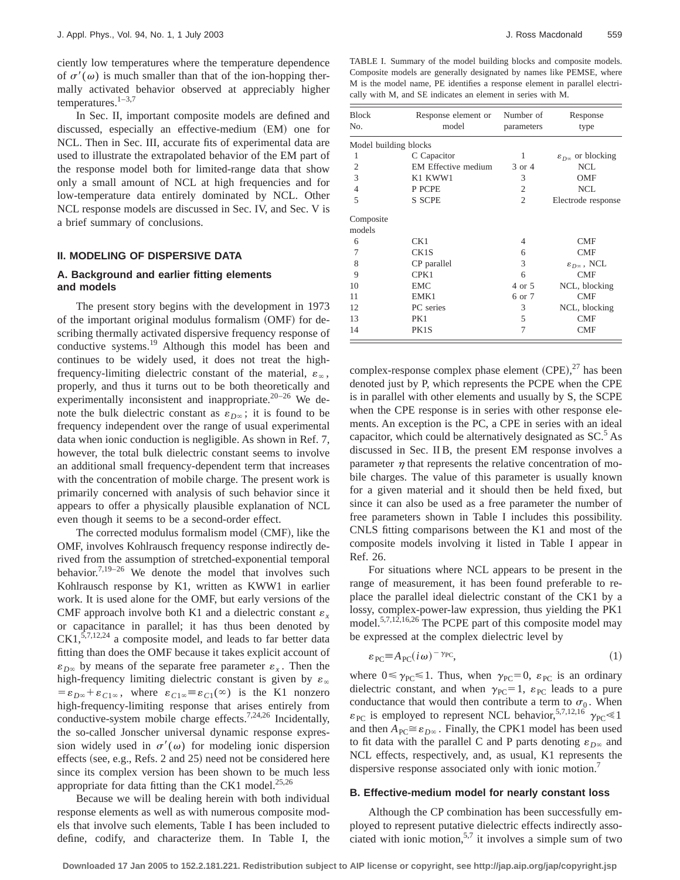ciently low temperatures where the temperature dependence of  $\sigma'(\omega)$  is much smaller than that of the ion-hopping thermally activated behavior observed at appreciably higher temperatures. $1-3,7$ 

In Sec. II, important composite models are defined and discussed, especially an effective-medium (EM) one for NCL. Then in Sec. III, accurate fits of experimental data are used to illustrate the extrapolated behavior of the EM part of the response model both for limited-range data that show only a small amount of NCL at high frequencies and for low-temperature data entirely dominated by NCL. Other NCL response models are discussed in Sec. IV, and Sec. V is a brief summary of conclusions.

# **II. MODELING OF DISPERSIVE DATA**

## **A. Background and earlier fitting elements and models**

The present story begins with the development in 1973 of the important original modulus formalism (OMF) for describing thermally activated dispersive frequency response of conductive systems.<sup>19</sup> Although this model has been and continues to be widely used, it does not treat the highfrequency-limiting dielectric constant of the material,  $\varepsilon_{\infty}$ , properly, and thus it turns out to be both theoretically and experimentally inconsistent and inappropriate. $20-26$  We denote the bulk dielectric constant as  $\varepsilon_{D\infty}$ ; it is found to be frequency independent over the range of usual experimental data when ionic conduction is negligible. As shown in Ref. 7, however, the total bulk dielectric constant seems to involve an additional small frequency-dependent term that increases with the concentration of mobile charge. The present work is primarily concerned with analysis of such behavior since it appears to offer a physically plausible explanation of NCL even though it seems to be a second-order effect.

The corrected modulus formalism model (CMF), like the OMF, involves Kohlrausch frequency response indirectly derived from the assumption of stretched-exponential temporal behavior.<sup>7,19–26</sup> We denote the model that involves such Kohlrausch response by K1, written as KWW1 in earlier work. It is used alone for the OMF, but early versions of the CMF approach involve both K1 and a dielectric constant  $\varepsilon$ . or capacitance in parallel; it has thus been denoted by  $CK1, \frac{5,7,12,24}{5,7,12,24}$  a composite model, and leads to far better data fitting than does the OMF because it takes explicit account of  $\varepsilon_{D^\infty}$  by means of the separate free parameter  $\varepsilon_x$ . Then the high-frequency limiting dielectric constant is given by  $\varepsilon_{\infty}$  $=\varepsilon_{D^\infty}+\varepsilon_{C1^\infty}$ , where  $\varepsilon_{C1^\infty} \equiv \varepsilon_{C1}(\infty)$  is the K1 nonzero high-frequency-limiting response that arises entirely from conductive-system mobile charge effects.<sup>7,24,26</sup> Incidentally, the so-called Jonscher universal dynamic response expression widely used in  $\sigma'(\omega)$  for modeling ionic dispersion effects (see, e.g., Refs. 2 and 25) need not be considered here since its complex version has been shown to be much less appropriate for data fitting than the CK1 model. $25,26$ 

Because we will be dealing herein with both individual response elements as well as with numerous composite models that involve such elements, Table I has been included to define, codify, and characterize them. In Table I, the

TABLE I. Summary of the model building blocks and composite models. Composite models are generally designated by names like PEMSE, where M is the model name, PE identifies a response element in parallel electrically with M, and SE indicates an element in series with M.

| <b>Block</b><br>No.   | Response element or<br>model | Number of<br>parameters | Response<br>type                    |
|-----------------------|------------------------------|-------------------------|-------------------------------------|
| Model building blocks |                              |                         |                                     |
| 1                     | C Capacitor                  | 1                       | $\varepsilon_{D\infty}$ or blocking |
| $\overline{2}$        | <b>EM Effective medium</b>   | 3 or 4                  | <b>NCL</b>                          |
| 3                     | K1 KWW1                      | 3                       | <b>OMF</b>                          |
| $\overline{4}$        | P PCPE                       | $\overline{2}$          | <b>NCL</b>                          |
| 5                     | <b>S SCPE</b>                | $\overline{c}$          | Electrode response                  |
| Composite             |                              |                         |                                     |
| models                |                              |                         |                                     |
| 6                     | CK1                          | 4                       | <b>CMF</b>                          |
| 7                     | CK1S                         | 6                       | <b>CMF</b>                          |
| 8                     | CP parallel                  | 3                       | $\varepsilon_{D^\infty},$ NCL       |
| 9                     | CPK1                         | 6                       | <b>CMF</b>                          |
| 10                    | <b>EMC</b>                   | 4 or 5                  | NCL, blocking                       |
| 11                    | EMK1                         | 6 or 7                  | <b>CMF</b>                          |
| 12                    | PC series                    | 3                       | NCL, blocking                       |
| 13                    | PK1                          | 5                       | <b>CMF</b>                          |
| 14                    | PK1S                         | 7                       | <b>CMF</b>                          |

complex-response complex phase element  $(CPE),^{27}$  has been denoted just by P, which represents the PCPE when the CPE is in parallel with other elements and usually by S, the SCPE when the CPE response is in series with other response elements. An exception is the PC, a CPE in series with an ideal capacitor, which could be alternatively designated as  $SC<sup>5</sup>$  As discussed in Sec. II B, the present EM response involves a parameter  $\eta$  that represents the relative concentration of mobile charges. The value of this parameter is usually known for a given material and it should then be held fixed, but since it can also be used as a free parameter the number of free parameters shown in Table I includes this possibility. CNLS fitting comparisons between the K1 and most of the composite models involving it listed in Table I appear in Ref. 26.

For situations where NCL appears to be present in the range of measurement, it has been found preferable to replace the parallel ideal dielectric constant of the CK1 by a lossy, complex-power-law expression, thus yielding the PK1 model.5,7,12,16,26 The PCPE part of this composite model may be expressed at the complex dielectric level by

$$
\varepsilon_{\rm PC} = A_{\rm PC}(i\,\omega)^{-\,\gamma_{\rm PC}},\tag{1}
$$

where  $0 \le \gamma_{PC} \le 1$ . Thus, when  $\gamma_{PC} = 0$ ,  $\varepsilon_{PC}$  is an ordinary dielectric constant, and when  $\gamma_{PC} = 1$ ,  $\varepsilon_{PC}$  leads to a pure conductance that would then contribute a term to  $\sigma_0$ . When  $\varepsilon_{\text{PC}}$  is employed to represent NCL behavior,<sup>5,7,12,16</sup>  $\gamma_{\text{PC}} \ll 1$ and then  $A_{PC} \cong \varepsilon_{D\infty}$ . Finally, the CPK1 model has been used to fit data with the parallel C and P parts denoting  $\varepsilon_{D^\infty}$  and NCL effects, respectively, and, as usual, K1 represents the dispersive response associated only with ionic motion.<sup>7</sup>

## **B. Effective-medium model for nearly constant loss**

Although the CP combination has been successfully employed to represent putative dielectric effects indirectly associated with ionic motion,  $5.7$  it involves a simple sum of two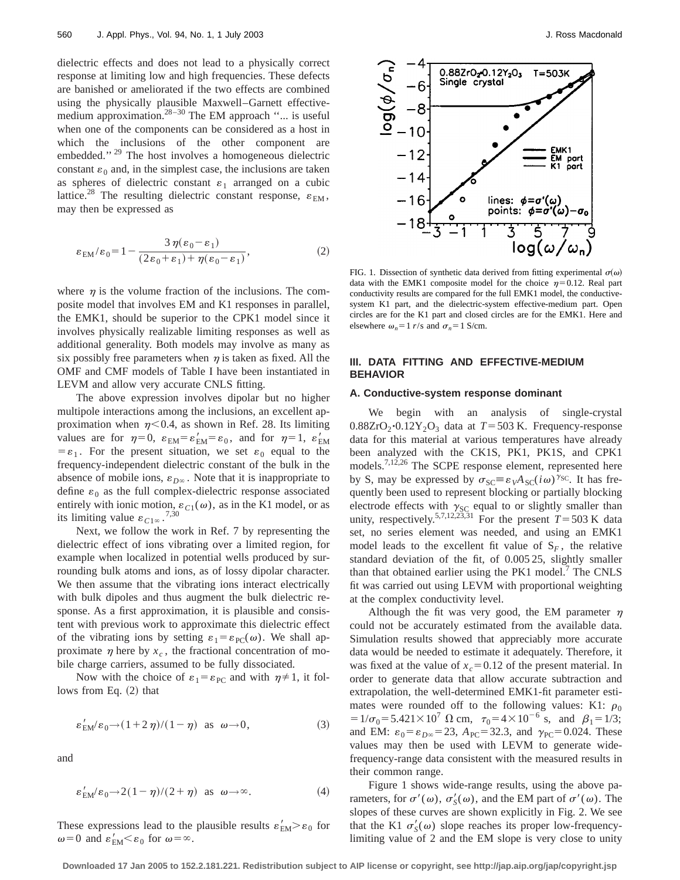dielectric effects and does not lead to a physically correct response at limiting low and high frequencies. These defects are banished or ameliorated if the two effects are combined using the physically plausible Maxwell–Garnett effectivemedium approximation. $28-30$  The EM approach "... is useful when one of the components can be considered as a host in which the inclusions of the other component are embedded."<sup>29</sup> The host involves a homogeneous dielectric constant  $\varepsilon_0$  and, in the simplest case, the inclusions are taken as spheres of dielectric constant  $\varepsilon_1$  arranged on a cubic lattice.<sup>28</sup> The resulting dielectric constant response,  $\varepsilon_{EM}$ , may then be expressed as

$$
\varepsilon_{EM}/\varepsilon_0 = 1 - \frac{3\,\eta(\varepsilon_0 - \varepsilon_1)}{(2\varepsilon_0 + \varepsilon_1) + \eta(\varepsilon_0 - \varepsilon_1)},\tag{2}
$$

where  $\eta$  is the volume fraction of the inclusions. The composite model that involves EM and K1 responses in parallel, the EMK1, should be superior to the CPK1 model since it involves physically realizable limiting responses as well as additional generality. Both models may involve as many as six possibly free parameters when  $\eta$  is taken as fixed. All the OMF and CMF models of Table I have been instantiated in LEVM and allow very accurate CNLS fitting.

The above expression involves dipolar but no higher multipole interactions among the inclusions, an excellent approximation when  $\eta$ <0.4, as shown in Ref. 28. Its limiting values are for  $\eta=0$ ,  $\varepsilon_{EM}=\varepsilon_{EM}^{\prime}=\varepsilon_0$ , and for  $\eta=1$ ,  $\varepsilon_{EM}^{\prime}$  $=\varepsilon_1$ . For the present situation, we set  $\varepsilon_0$  equal to the frequency-independent dielectric constant of the bulk in the absence of mobile ions,  $\varepsilon_{D^\infty}$ . Note that it is inappropriate to define  $\varepsilon_0$  as the full complex-dielectric response associated entirely with ionic motion,  $\varepsilon_{C1}(\omega)$ , as in the K1 model, or as its limiting value  $\varepsilon_{C1\infty}$ .<sup>7,30</sup>

Next, we follow the work in Ref. 7 by representing the dielectric effect of ions vibrating over a limited region, for example when localized in potential wells produced by surrounding bulk atoms and ions, as of lossy dipolar character. We then assume that the vibrating ions interact electrically with bulk dipoles and thus augment the bulk dielectric response. As a first approximation, it is plausible and consistent with previous work to approximate this dielectric effect of the vibrating ions by setting  $\varepsilon_1 = \varepsilon_{PC}(\omega)$ . We shall approximate  $\eta$  here by  $x_c$ , the fractional concentration of mobile charge carriers, assumed to be fully dissociated.

Now with the choice of  $\varepsilon_1 = \varepsilon_{PC}$  and with  $\eta \neq 1$ , it follows from Eq.  $(2)$  that

$$
\varepsilon_{\rm EM}^{\prime}/\varepsilon_0 \rightarrow (1+2\,\eta)/(1-\eta) \quad \text{as} \quad \omega \rightarrow 0,\tag{3}
$$

and

$$
\varepsilon'_{EM}/\varepsilon_0 \to 2(1-\eta)/(2+\eta) \quad \text{as} \quad \omega \to \infty. \tag{4}
$$

These expressions lead to the plausible results  $\varepsilon'_{\text{EM}} > \varepsilon_0$  for  $\omega$ =0 and  $\varepsilon'_{\text{EM}}<\varepsilon_0$  for  $\omega=\infty$ .



FIG. 1. Dissection of synthetic data derived from fitting experimental  $\sigma(\omega)$ data with the EMK1 composite model for the choice  $\eta=0.12$ . Real part conductivity results are compared for the full EMK1 model, the conductivesystem K1 part, and the dielectric-system effective-medium part. Open circles are for the K1 part and closed circles are for the EMK1. Here and elsewhere  $\omega_n=1$  *r*/s and  $\sigma_n=1$  S/cm.

## **III. DATA FITTING AND EFFECTIVE-MEDIUM BEHAVIOR**

## **A. Conductive-system response dominant**

We begin with an analysis of single-crystal  $0.88ZrO<sub>2</sub>$ <sup>-</sup> $0.12Y<sub>2</sub>O<sub>3</sub>$  data at  $T=503$  K. Frequency-response data for this material at various temperatures have already been analyzed with the CK1S, PK1, PK1S, and CPK1 models.7,12,26 The SCPE response element, represented here by S, may be expressed by  $\sigma_{SC} \equiv \varepsilon_V A_{SC}(i\omega)^{\gamma_{SC}}$ . It has frequently been used to represent blocking or partially blocking electrode effects with  $\gamma_{SC}$  equal to or slightly smaller than unity, respectively.<sup>5,7,12,23,31</sup> For the present  $T=503$  K data set, no series element was needed, and using an EMK1 model leads to the excellent fit value of  $S_F$ , the relative standard deviation of the fit, of 0.005 25, slightly smaller than that obtained earlier using the  $PK1$  model.<sup>7</sup> The CNLS fit was carried out using LEVM with proportional weighting at the complex conductivity level.

Although the fit was very good, the EM parameter  $\eta$ could not be accurately estimated from the available data. Simulation results showed that appreciably more accurate data would be needed to estimate it adequately. Therefore, it was fixed at the value of  $x_c = 0.12$  of the present material. In order to generate data that allow accurate subtraction and extrapolation, the well-determined EMK1-fit parameter estimates were rounded off to the following values: K1:  $\rho_0$  $=1/\sigma_0=5.421\times10^7 \ \Omega \ \text{cm}, \ \ \tau_0=4\times10^{-6} \ \text{s}, \ \text{and} \ \ \beta_1=1/3;$ and EM:  $\varepsilon_0 = \varepsilon_{D\infty} = 23$ ,  $A_{PC} = 32.3$ , and  $\gamma_{PC} = 0.024$ . These values may then be used with LEVM to generate widefrequency-range data consistent with the measured results in their common range.

Figure 1 shows wide-range results, using the above parameters, for  $\sigma'(\omega)$ ,  $\sigma'_{\mathcal{S}}(\omega)$ , and the EM part of  $\sigma'(\omega)$ . The slopes of these curves are shown explicitly in Fig. 2. We see that the K1  $\sigma'_{S}(\omega)$  slope reaches its proper low-frequencylimiting value of 2 and the EM slope is very close to unity

**Downloaded 17 Jan 2005 to 152.2.181.221. Redistribution subject to AIP license or copyright, see http://jap.aip.org/jap/copyright.jsp**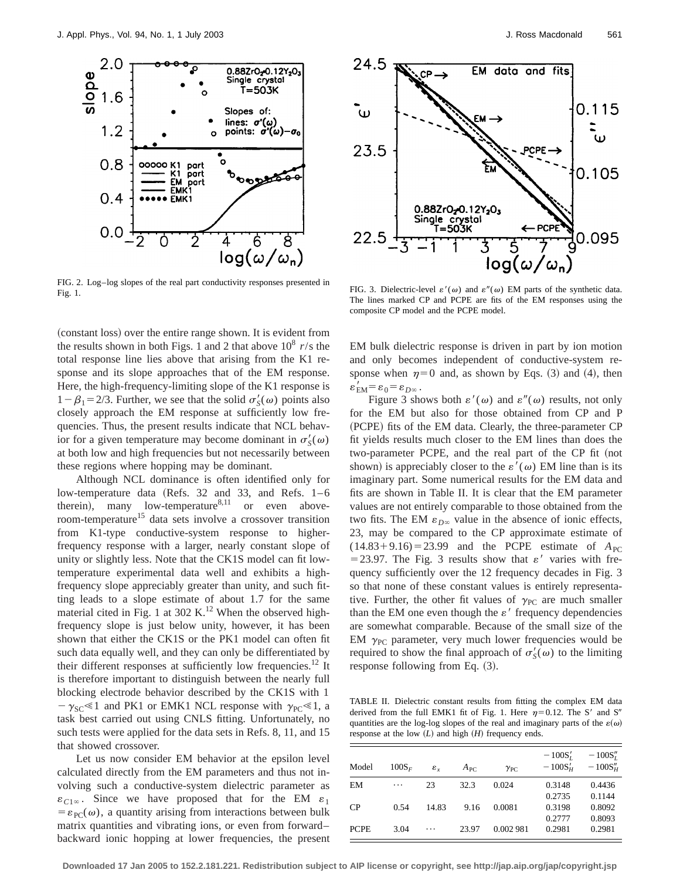

FIG. 2. Log–log slopes of the real part conductivity responses presented in FIG. 3. Dielectric-level  $\varepsilon'(\omega)$  and  $\varepsilon''(\omega)$  EM parts of the synthetic data.

(constant loss) over the entire range shown. It is evident from the results shown in both Figs. 1 and 2 that above  $10^8$  *r*/s the total response line lies above that arising from the K1 response and its slope approaches that of the EM response. Here, the high-frequency-limiting slope of the K1 response is  $1-\beta_1 = 2/3$ . Further, we see that the solid  $\sigma'_{\mathcal{S}}(\omega)$  points also closely approach the EM response at sufficiently low frequencies. Thus, the present results indicate that NCL behavior for a given temperature may become dominant in  $\sigma'_{S}(\omega)$ at both low and high frequencies but not necessarily between these regions where hopping may be dominant.

Although NCL dominance is often identified only for low-temperature data (Refs. 32 and 33, and Refs.  $1-6$ therein), many low-temperature $8,11$  or even aboveroom-temperature<sup>15</sup> data sets involve a crossover transition from K1-type conductive-system response to higherfrequency response with a larger, nearly constant slope of unity or slightly less. Note that the CK1S model can fit lowtemperature experimental data well and exhibits a highfrequency slope appreciably greater than unity, and such fitting leads to a slope estimate of about 1.7 for the same material cited in Fig. 1 at 302 K.<sup>12</sup> When the observed highfrequency slope is just below unity, however, it has been shown that either the CK1S or the PK1 model can often fit such data equally well, and they can only be differentiated by their different responses at sufficiently low frequencies.<sup>12</sup> It is therefore important to distinguish between the nearly full blocking electrode behavior described by the CK1S with 1  $-\gamma_{SC} \le 1$  and PK1 or EMK1 NCL response with  $\gamma_{PC} \le 1$ , a task best carried out using CNLS fitting. Unfortunately, no such tests were applied for the data sets in Refs. 8, 11, and 15 that showed crossover.

Let us now consider EM behavior at the epsilon level calculated directly from the EM parameters and thus not involving such a conductive-system dielectric parameter as  $\varepsilon_{C1\infty}$ . Since we have proposed that for the EM  $\varepsilon_1$  $= \varepsilon_{PC}(\omega)$ , a quantity arising from interactions between bulk matrix quantities and vibrating ions, or even from forward– backward ionic hopping at lower frequencies, the present



The lines marked CP and PCPE are fits of the EM responses using the composite CP model and the PCPE model.

EM bulk dielectric response is driven in part by ion motion and only becomes independent of conductive-system response when  $\eta=0$  and, as shown by Eqs. (3) and (4), then  $\varepsilon_{\rm EM}^{\prime} = \varepsilon_0 = \varepsilon_{D^{\infty}}$ .

Figure 3 shows both  $\varepsilon'(\omega)$  and  $\varepsilon''(\omega)$  results, not only for the EM but also for those obtained from CP and P (PCPE) fits of the EM data. Clearly, the three-parameter CP fit yields results much closer to the EM lines than does the two-parameter PCPE, and the real part of the CP fit (not shown) is appreciably closer to the  $\varepsilon'(\omega)$  EM line than is its imaginary part. Some numerical results for the EM data and fits are shown in Table II. It is clear that the EM parameter values are not entirely comparable to those obtained from the two fits. The EM  $\varepsilon_{D^\infty}$  value in the absence of ionic effects, 23, may be compared to the CP approximate estimate of  $(14.83 + 9.16) = 23.99$  and the PCPE estimate of  $A_{PC}$ =23.97. The Fig. 3 results show that  $\varepsilon'$  varies with frequency sufficiently over the 12 frequency decades in Fig. 3 so that none of these constant values is entirely representative. Further, the other fit values of  $\gamma_{PC}$  are much smaller than the EM one even though the  $\varepsilon'$  frequency dependencies are somewhat comparable. Because of the small size of the EM  $\gamma_{PC}$  parameter, very much lower frequencies would be required to show the final approach of  $\sigma'_{S}(\omega)$  to the limiting response following from Eq.  $(3)$ .

TABLE II. Dielectric constant results from fitting the complex EM data derived from the full EMK1 fit of Fig. 1. Here  $\eta=0.12$ . The S' and S'' quantities are the log-log slopes of the real and imaginary parts of the  $\varepsilon(\omega)$ response at the low  $(L)$  and high  $(H)$  frequency ends.

| Model       | $100S_F$ | $\varepsilon_{r}$ | $A_{\rm PC}$ | $\gamma_{PC}$ | $-100S'_t$<br>$-100S_{H}^{\prime}$ | $-100S''_t$<br>$-100S''_{H}$ |
|-------------|----------|-------------------|--------------|---------------|------------------------------------|------------------------------|
| EM          | $\cdots$ | 23                | 32.3         | 0.024         | 0.3148                             | 0.4436                       |
|             |          |                   |              |               | 0.2735                             | 0.1144                       |
| CP          | 0.54     | 14.83             | 9.16         | 0.0081        | 0.3198                             | 0.8092                       |
|             |          |                   |              |               | 0.2777                             | 0.8093                       |
| <b>PCPE</b> | 3.04     | $\ddots$          | 23.97        | 0.002981      | 0.2981                             | 0.2981                       |
|             |          |                   |              |               |                                    |                              |

**Downloaded 17 Jan 2005 to 152.2.181.221. Redistribution subject to AIP license or copyright, see http://jap.aip.org/jap/copyright.jsp**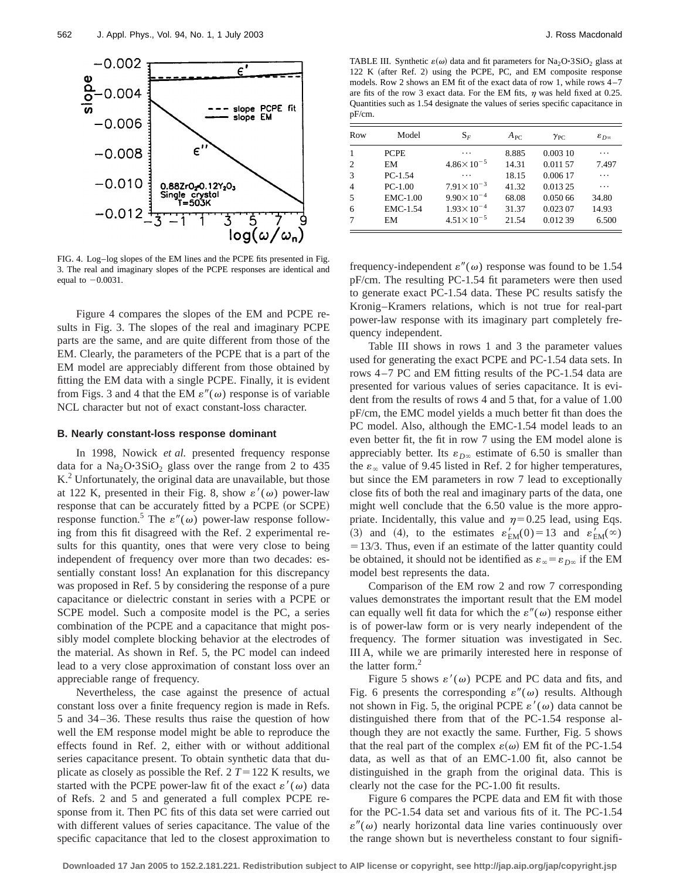

FIG. 4. Log–log slopes of the EM lines and the PCPE fits presented in Fig. 3. The real and imaginary slopes of the PCPE responses are identical and equal to  $-0.0031$ .

Figure 4 compares the slopes of the EM and PCPE results in Fig. 3. The slopes of the real and imaginary PCPE parts are the same, and are quite different from those of the EM. Clearly, the parameters of the PCPE that is a part of the EM model are appreciably different from those obtained by fitting the EM data with a single PCPE. Finally, it is evident from Figs. 3 and 4 that the EM  $\varepsilon''(\omega)$  response is of variable NCL character but not of exact constant-loss character.

## **B. Nearly constant-loss response dominant**

In 1998, Nowick *et al.* presented frequency response data for a  $Na<sub>2</sub>O·3SiO<sub>2</sub>$  glass over the range from 2 to 435 K.<sup>2</sup> Unfortunately, the original data are unavailable, but those at 122 K, presented in their Fig. 8, show  $\varepsilon'(\omega)$  power-law response that can be accurately fitted by a PCPE (or SCPE) response function.<sup>5</sup> The  $\varepsilon''(\omega)$  power-law response following from this fit disagreed with the Ref. 2 experimental results for this quantity, ones that were very close to being independent of frequency over more than two decades: essentially constant loss! An explanation for this discrepancy was proposed in Ref. 5 by considering the response of a pure capacitance or dielectric constant in series with a PCPE or SCPE model. Such a composite model is the PC, a series combination of the PCPE and a capacitance that might possibly model complete blocking behavior at the electrodes of the material. As shown in Ref. 5, the PC model can indeed lead to a very close approximation of constant loss over an appreciable range of frequency.

Nevertheless, the case against the presence of actual constant loss over a finite frequency region is made in Refs. 5 and 34–36. These results thus raise the question of how well the EM response model might be able to reproduce the effects found in Ref. 2, either with or without additional series capacitance present. To obtain synthetic data that duplicate as closely as possible the Ref.  $2 T = 122$  K results, we started with the PCPE power-law fit of the exact  $\varepsilon'(\omega)$  data of Refs. 2 and 5 and generated a full complex PCPE response from it. Then PC fits of this data set were carried out with different values of series capacitance. The value of the specific capacitance that led to the closest approximation to

TABLE III. Synthetic  $\varepsilon(\omega)$  data and fit parameters for Na<sub>2</sub>O·3SiO<sub>2</sub> glass at 122 K (after Ref. 2) using the PCPE, PC, and EM composite response models. Row 2 shows an EM fit of the exact data of row 1, while rows 4–7 are fits of the row 3 exact data. For the EM fits,  $\eta$  was held fixed at 0.25. Quantities such as 1.54 designate the values of series specific capacitance in pF/cm.

| Row            | Model       | $\mathrm{S}_F$        | $A_{\rm PC}$ | $\gamma_{PC}$ | $\varepsilon_{D^\infty}$ |
|----------------|-------------|-----------------------|--------------|---------------|--------------------------|
| 1              | <b>PCPE</b> | .                     | 8.885        | 0.003 10      | $\cdots$                 |
| 2              | EM          | $4.86 \times 10^{-5}$ | 14.31        | 0.011 57      | 7.497                    |
| 3              | $PC-1.54$   | .                     | 18.15        | 0.006 17      | .                        |
| $\overline{4}$ | $PC-1.00$   | $7.91 \times 10^{-3}$ | 41.32        | 0.013 25      | $\cdots$                 |
| 5              | EMC-1.00    | $9.90 \times 10^{-4}$ | 68.08        | 0.050 66      | 34.80                    |
| 6              | EMC-1.54    | $1.93 \times 10^{-4}$ | 31.37        | 0.023 07      | 14.93                    |
| 7              | EM          | $4.51 \times 10^{-5}$ | 21.54        | 0.012 39      | 6.500                    |

frequency-independent  $\varepsilon''(\omega)$  response was found to be 1.54 pF/cm. The resulting PC-1.54 fit parameters were then used to generate exact PC-1.54 data. These PC results satisfy the Kronig–Kramers relations, which is not true for real-part power-law response with its imaginary part completely frequency independent.

Table III shows in rows 1 and 3 the parameter values used for generating the exact PCPE and PC-1.54 data sets. In rows 4–7 PC and EM fitting results of the PC-1.54 data are presented for various values of series capacitance. It is evident from the results of rows 4 and 5 that, for a value of 1.00 pF/cm, the EMC model yields a much better fit than does the PC model. Also, although the EMC-1.54 model leads to an even better fit, the fit in row 7 using the EM model alone is appreciably better. Its  $\varepsilon_{D^\infty}$  estimate of 6.50 is smaller than the  $\varepsilon_{\infty}$  value of 9.45 listed in Ref. 2 for higher temperatures, but since the EM parameters in row 7 lead to exceptionally close fits of both the real and imaginary parts of the data, one might well conclude that the 6.50 value is the more appropriate. Incidentally, this value and  $\eta=0.25$  lead, using Eqs. (3) and (4), to the estimates  $\varepsilon'_{EM}(0) = 13$  and  $\varepsilon'_{EM}(\infty)$  $=13/3$ . Thus, even if an estimate of the latter quantity could be obtained, it should not be identified as  $\varepsilon_{\infty} = \varepsilon_{D\infty}$  if the EM model best represents the data.

Comparison of the EM row 2 and row 7 corresponding values demonstrates the important result that the EM model can equally well fit data for which the  $\varepsilon''(\omega)$  response either is of power-law form or is very nearly independent of the frequency. The former situation was investigated in Sec. III A, while we are primarily interested here in response of the latter form. $<sup>2</sup>$ </sup>

Figure 5 shows  $\varepsilon'(\omega)$  PCPE and PC data and fits, and Fig. 6 presents the corresponding  $\varepsilon''(\omega)$  results. Although not shown in Fig. 5, the original PCPE  $\varepsilon'(\omega)$  data cannot be distinguished there from that of the PC-1.54 response although they are not exactly the same. Further, Fig. 5 shows that the real part of the complex  $\varepsilon(\omega)$  EM fit of the PC-1.54 data, as well as that of an EMC-1.00 fit, also cannot be distinguished in the graph from the original data. This is clearly not the case for the PC-1.00 fit results.

Figure 6 compares the PCPE data and EM fit with those for the PC-1.54 data set and various fits of it. The PC-1.54  $\varepsilon''(\omega)$  nearly horizontal data line varies continuously over the range shown but is nevertheless constant to four signifi-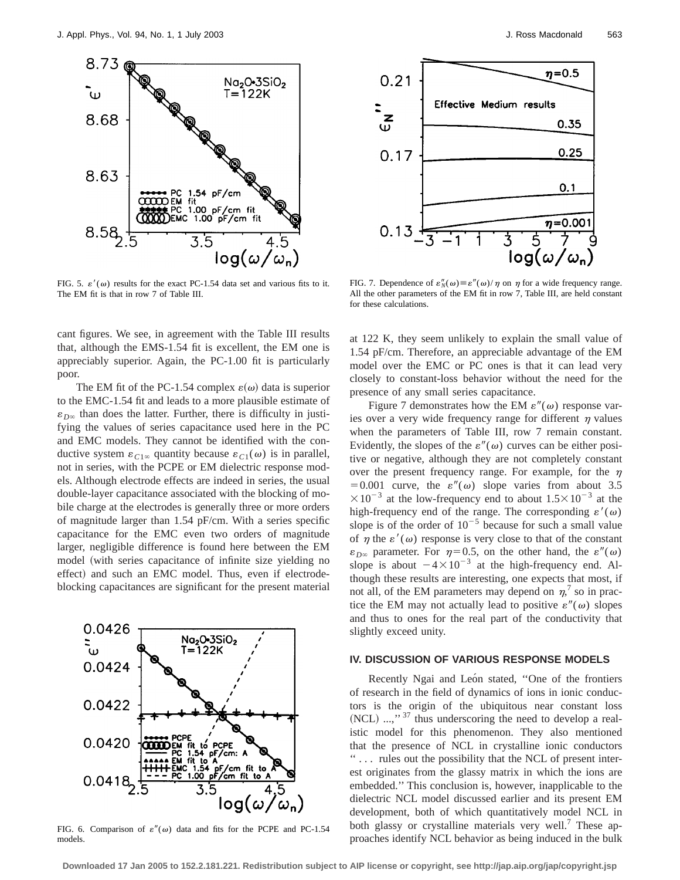

FIG. 5.  $\varepsilon'(\omega)$  results for the exact PC-1.54 data set and various fits to it. The EM fit is that in row 7 of Table III.

cant figures. We see, in agreement with the Table III results that, although the EMS-1.54 fit is excellent, the EM one is appreciably superior. Again, the PC-1.00 fit is particularly poor.

The EM fit of the PC-1.54 complex  $\varepsilon(\omega)$  data is superior to the EMC-1.54 fit and leads to a more plausible estimate of  $\varepsilon_{D\infty}$  than does the latter. Further, there is difficulty in justifying the values of series capacitance used here in the PC and EMC models. They cannot be identified with the conductive system  $\varepsilon_{C1\infty}$  quantity because  $\varepsilon_{C1}(\omega)$  is in parallel, not in series, with the PCPE or EM dielectric response models. Although electrode effects are indeed in series, the usual double-layer capacitance associated with the blocking of mobile charge at the electrodes is generally three or more orders of magnitude larger than 1.54 pF/cm. With a series specific capacitance for the EMC even two orders of magnitude larger, negligible difference is found here between the EM model (with series capacitance of infinite size yielding no effect) and such an EMC model. Thus, even if electrodeblocking capacitances are significant for the present material



FIG. 6. Comparison of  $\varepsilon''(\omega)$  data and fits for the PCPE and PC-1.54 models.



FIG. 7. Dependence of  $\varepsilon''_N(\omega) \equiv \varepsilon''(\omega)/\eta$  on  $\eta$  for a wide frequency range. All the other parameters of the EM fit in row 7, Table III, are held constant for these calculations.

at 122 K, they seem unlikely to explain the small value of 1.54 pF/cm. Therefore, an appreciable advantage of the EM model over the EMC or PC ones is that it can lead very closely to constant-loss behavior without the need for the presence of any small series capacitance.

Figure 7 demonstrates how the EM  $\varepsilon''(\omega)$  response varies over a very wide frequency range for different  $\eta$  values when the parameters of Table III, row 7 remain constant. Evidently, the slopes of the  $\varepsilon''(\omega)$  curves can be either positive or negative, although they are not completely constant over the present frequency range. For example, for the  $\eta$ =0.001 curve, the  $\varepsilon''(\omega)$  slope varies from about 3.5  $\times 10^{-3}$  at the low-frequency end to about  $1.5\times 10^{-3}$  at the high-frequency end of the range. The corresponding  $\varepsilon'(\omega)$ slope is of the order of  $10^{-5}$  because for such a small value of  $\eta$  the  $\varepsilon'(\omega)$  response is very close to that of the constant  $\varepsilon_{D\infty}$  parameter. For  $\eta=0.5$ , on the other hand, the  $\varepsilon''(\omega)$ slope is about  $-4\times10^{-3}$  at the high-frequency end. Although these results are interesting, one expects that most, if not all, of the EM parameters may depend on  $\eta$ <sup>7</sup>, so in practice the EM may not actually lead to positive  $\varepsilon''(\omega)$  slopes and thus to ones for the real part of the conductivity that slightly exceed unity.

#### **IV. DISCUSSION OF VARIOUS RESPONSE MODELS**

Recently Ngai and León stated, "One of the frontiers of research in the field of dynamics of ions in ionic conductors is the origin of the ubiquitous near constant loss  $(NCL)$  ...,"<sup>37</sup> thus underscoring the need to develop a realistic model for this phenomenon. They also mentioned that the presence of NCL in crystalline ionic conductors '' . . . rules out the possibility that the NCL of present interest originates from the glassy matrix in which the ions are embedded.'' This conclusion is, however, inapplicable to the dielectric NCL model discussed earlier and its present EM development, both of which quantitatively model NCL in both glassy or crystalline materials very well.<sup>7</sup> These approaches identify NCL behavior as being induced in the bulk

**Downloaded 17 Jan 2005 to 152.2.181.221. Redistribution subject to AIP license or copyright, see http://jap.aip.org/jap/copyright.jsp**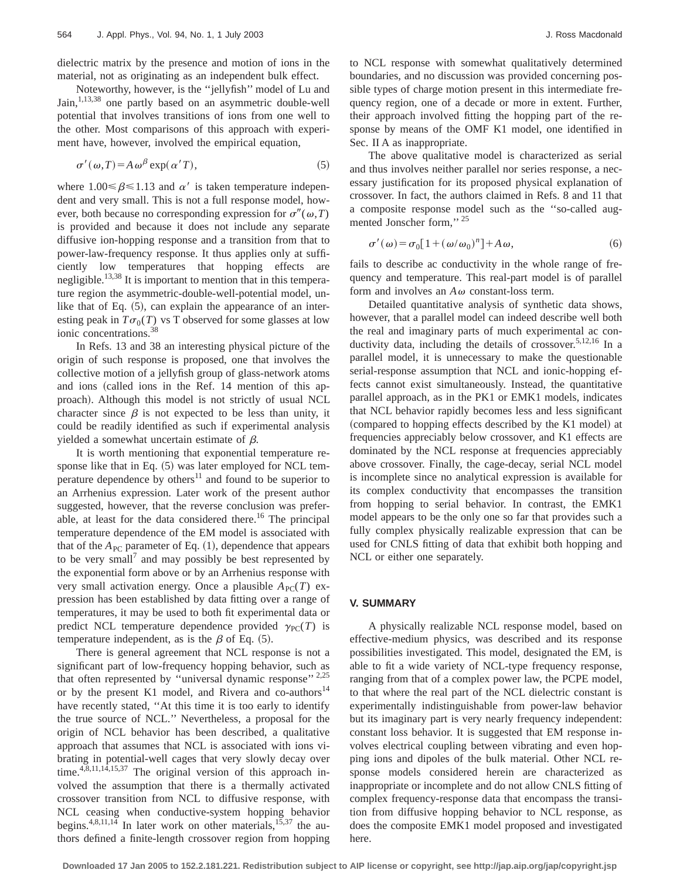dielectric matrix by the presence and motion of ions in the material, not as originating as an independent bulk effect.

Noteworthy, however, is the ''jellyfish'' model of Lu and Jain,<sup>1,13,38</sup> one partly based on an asymmetric double-well potential that involves transitions of ions from one well to the other. Most comparisons of this approach with experiment have, however, involved the empirical equation,

$$
\sigma'(\omega, T) = A \omega^{\beta} \exp(\alpha' T), \tag{5}
$$

where  $1.00 \le \beta \le 1.13$  and  $\alpha'$  is taken temperature independent and very small. This is not a full response model, however, both because no corresponding expression for  $\sigma''(\omega,T)$ is provided and because it does not include any separate diffusive ion-hopping response and a transition from that to power-law-frequency response. It thus applies only at sufficiently low temperatures that hopping effects are negligible.<sup>13,38</sup> It is important to mention that in this temperature region the asymmetric-double-well-potential model, unlike that of Eq.  $(5)$ , can explain the appearance of an interesting peak in  $T\sigma_0(T)$  vs T observed for some glasses at low ionic concentrations.38

In Refs. 13 and 38 an interesting physical picture of the origin of such response is proposed, one that involves the collective motion of a jellyfish group of glass-network atoms and ions (called ions in the Ref. 14 mention of this approach). Although this model is not strictly of usual NCL character since  $\beta$  is not expected to be less than unity, it could be readily identified as such if experimental analysis yielded a somewhat uncertain estimate of  $\beta$ .

It is worth mentioning that exponential temperature response like that in Eq.  $(5)$  was later employed for NCL temperature dependence by others $11$  and found to be superior to an Arrhenius expression. Later work of the present author suggested, however, that the reverse conclusion was preferable, at least for the data considered there.<sup>16</sup> The principal temperature dependence of the EM model is associated with that of the  $A_{PC}$  parameter of Eq.  $(1)$ , dependence that appears to be very small<sup> $\prime$ </sup> and may possibly be best represented by the exponential form above or by an Arrhenius response with very small activation energy. Once a plausible  $A_{PC}(T)$  expression has been established by data fitting over a range of temperatures, it may be used to both fit experimental data or predict NCL temperature dependence provided  $\gamma_{PC}(T)$  is temperature independent, as is the  $\beta$  of Eq. (5).

There is general agreement that NCL response is not a significant part of low-frequency hopping behavior, such as that often represented by "universal dynamic response"  $2,25$ or by the present K1 model, and Rivera and co-authors<sup>14</sup> have recently stated, ''At this time it is too early to identify the true source of NCL.'' Nevertheless, a proposal for the origin of NCL behavior has been described, a qualitative approach that assumes that NCL is associated with ions vibrating in potential-well cages that very slowly decay over time. $4,8,11,14,15,37$  The original version of this approach involved the assumption that there is a thermally activated crossover transition from NCL to diffusive response, with NCL ceasing when conductive-system hopping behavior begins.<sup>4,8,11,14</sup> In later work on other materials,<sup>15,37</sup> the authors defined a finite-length crossover region from hopping

to NCL response with somewhat qualitatively determined boundaries, and no discussion was provided concerning possible types of charge motion present in this intermediate frequency region, one of a decade or more in extent. Further, their approach involved fitting the hopping part of the response by means of the OMF K1 model, one identified in Sec. II A as inappropriate.

The above qualitative model is characterized as serial and thus involves neither parallel nor series response, a necessary justification for its proposed physical explanation of crossover. In fact, the authors claimed in Refs. 8 and 11 that a composite response model such as the ''so-called augmented Jonscher form," 25

$$
\sigma'(\omega) = \sigma_0[1 + (\omega/\omega_0)^n] + A\omega,
$$
\n(6)

fails to describe ac conductivity in the whole range of frequency and temperature. This real-part model is of parallel form and involves an  $A\omega$  constant-loss term.

Detailed quantitative analysis of synthetic data shows, however, that a parallel model can indeed describe well both the real and imaginary parts of much experimental ac conductivity data, including the details of crossover.<sup>5,12,16</sup> In a parallel model, it is unnecessary to make the questionable serial-response assumption that NCL and ionic-hopping effects cannot exist simultaneously. Instead, the quantitative parallel approach, as in the PK1 or EMK1 models, indicates that NCL behavior rapidly becomes less and less significant (compared to hopping effects described by the K1 model) at frequencies appreciably below crossover, and K1 effects are dominated by the NCL response at frequencies appreciably above crossover. Finally, the cage-decay, serial NCL model is incomplete since no analytical expression is available for its complex conductivity that encompasses the transition from hopping to serial behavior. In contrast, the EMK1 model appears to be the only one so far that provides such a fully complex physically realizable expression that can be used for CNLS fitting of data that exhibit both hopping and NCL or either one separately.

#### **V. SUMMARY**

A physically realizable NCL response model, based on effective-medium physics, was described and its response possibilities investigated. This model, designated the EM, is able to fit a wide variety of NCL-type frequency response, ranging from that of a complex power law, the PCPE model, to that where the real part of the NCL dielectric constant is experimentally indistinguishable from power-law behavior but its imaginary part is very nearly frequency independent: constant loss behavior. It is suggested that EM response involves electrical coupling between vibrating and even hopping ions and dipoles of the bulk material. Other NCL response models considered herein are characterized as inappropriate or incomplete and do not allow CNLS fitting of complex frequency-response data that encompass the transition from diffusive hopping behavior to NCL response, as does the composite EMK1 model proposed and investigated here.